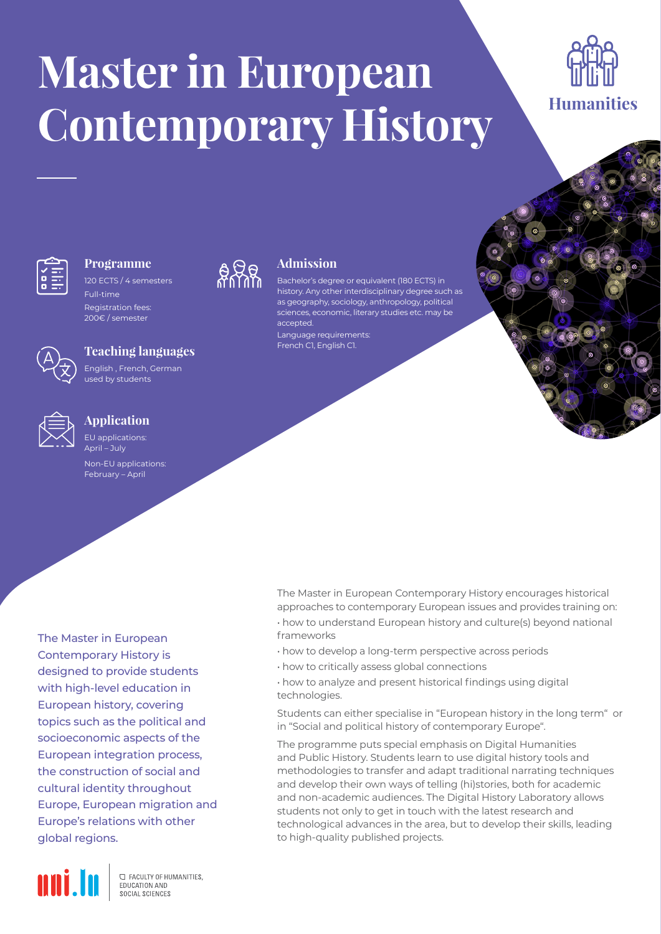# **Master in European Contemporary History**





# **Programme**

120 ECTS / 4 semesters Full-time

Registration fees: 200€ / semester

## **Teaching languages**

English , French, German used by students



### **Application**

EU applications:  $\Delta$ pril – July

Non-EU applications: February – April

The Master in European Contemporary History is designed to provide students with high-level education in European history, covering topics such as the political and socioeconomic aspects of the European integration process, the construction of social and cultural identity throughout Europe, European migration and Europe's relations with other global regions.



**C FACULTY OF HUMANITIES.** EDUCATION AND SOCIAL SCIENCES



# **Admission**

Bachelor's degree or equivalent (180 ECTS) in history. Any other interdisciplinary degree such as as geography, sociology, anthropology, political sciences, economic, literary studies etc. may be accepted. Language requirements: French C1, English C1.

The Master in European Contemporary History encourages historical approaches to contemporary European issues and provides training on: • how to understand European history and culture(s) beyond national frameworks

- how to develop a long-term perspective across periods
- how to critically assess global connections

• how to analyze and present historical findings using digital technologies.

Students can either specialise in "European history in the long term" or in "Social and political history of contemporary Europe".

The programme puts special emphasis on Digital Humanities and Public History. Students learn to use digital history tools and methodologies to transfer and adapt traditional narrating techniques and develop their own ways of telling (hi)stories, both for academic and non-academic audiences. The Digital History Laboratory allows students not only to get in touch with the latest research and technological advances in the area, but to develop their skills, leading to high-quality published projects.